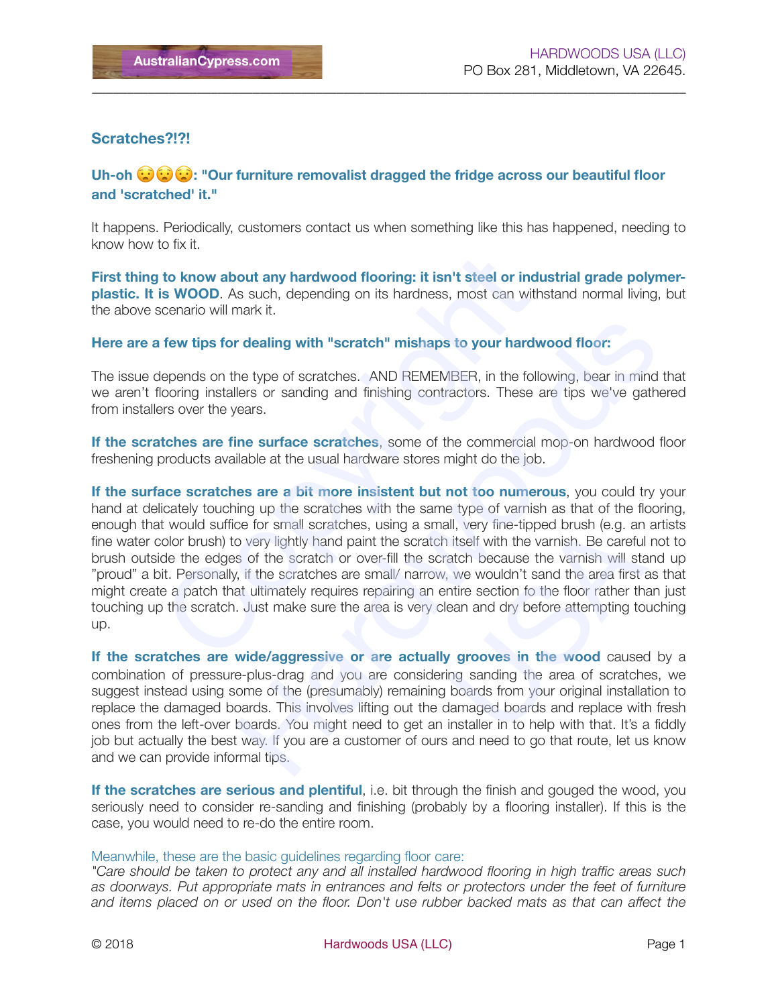## **Scratches?!?!**

## **Uh-oh**  $\bigodot$  $\bigodot$  $\bigodot$  : "Our furniture removalist dragged the fridge across our beautiful floor **and 'scratched' it."**

\_\_\_\_\_\_\_\_\_\_\_\_\_\_\_\_\_\_\_\_\_\_\_\_\_\_\_\_\_\_\_\_\_\_\_\_\_\_\_\_\_\_\_\_\_\_\_\_\_\_\_\_\_\_\_\_\_\_\_\_\_\_\_\_\_\_\_\_\_\_\_\_\_\_\_\_\_\_\_\_\_\_\_\_\_

It happens. Periodically, customers contact us when something like this has happened, needing to know how to fix it.

**First thing to know about any hardwood flooring: it isn't steel or industrial grade polymerplastic. It is WOOD**. As such, depending on its hardness, most can withstand normal living, but the above scenario will mark it.

## **Here are a few tips for dealing with "scratch" mishaps to your hardwood floor:**

The issue depends on the type of scratches. AND REMEMBER, in the following, bear in mind that we aren't flooring installers or sanding and finishing contractors. These are tips we've gathered from installers over the years.

**If the scratches are fine surface scratches**, some of the commercial mop-on hardwood floor freshening products available at the usual hardware stores might do the job.

**If the surface scratches are a bit more insistent but not too numerous**, you could try your hand at delicately touching up the scratches with the same type of varnish as that of the flooring, enough that would suffice for small scratches, using a small, very fine-tipped brush (e.g. an artists fine water color brush) to very lightly hand paint the scratch itself with the varnish. Be careful not to brush outside the edges of the scratch or over-fill the scratch because the varnish will stand up "proud" a bit. Personally, if the scratches are small/ narrow, we wouldn't sand the area first as that might create a patch that ultimately requires repairing an entire section fo the floor rather than just touching up the scratch. Just make sure the area is very clean and dry before attempting touching up. to know about any hardwood flooring: it isn't steel or ine<br>is WOOD. As such, depending on its hardness, most can wi<br>cenario will mark it.<br>few tips for dealing with "scratch" mishaps to your hard<br>epends on the type of scrat r dealing with "scratch" mishaps to your hardwood floor:<br>
he type of scratches. AND REMEMBER, in the following, bear in mind that<br>
hers or sanding and finishing contractors. These are tips we've gathered<br>
ears.<br>
Hence stra III, very fine-tipped brush (e.g. an<br>itself with the varnish. Be careful<br>atch because the varnish will sta<br>we wouldn't sand the area first a<br>ntire section fo the floor rather tha<br>an and dry before attempting to<br>**g groove** 

**If the scratches are wide/aggressive or are actually grooves in the wood** caused by a combination of pressure-plus-drag and you are considering sanding the area of scratches, we suggest instead using some of the (presumably) remaining boards from your original installation to replace the damaged boards. This involves lifting out the damaged boards and replace with fresh ones from the left-over boards. You might need to get an installer in to help with that. It's a fiddly job but actually the best way. If you are a customer of ours and need to go that route, let us know and we can provide informal tips.

**If the scratches are serious and plentiful**, i.e. bit through the finish and gouged the wood, you seriously need to consider re-sanding and finishing (probably by a flooring installer). If this is the case, you would need to re-do the entire room.

## Meanwhile, these are the basic guidelines regarding floor care:

*"Care should be taken to protect any and all installed hardwood flooring in high traffic areas such as doorways. Put appropriate mats in entrances and felts or protectors under the feet of furniture and items placed on or used on the floor. Don't use rubber backed mats as that can affect the*